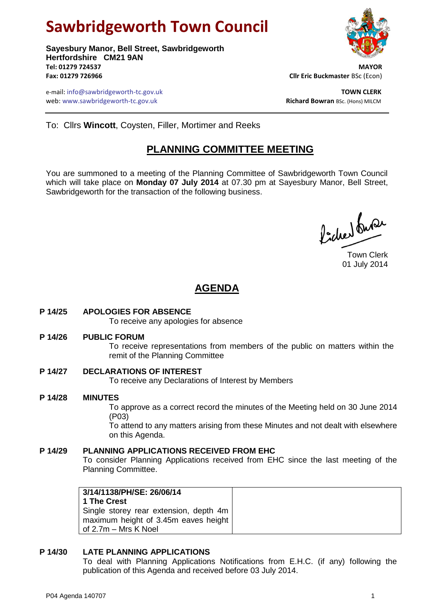# **Sawbridgeworth Town Council**

**Sayesbury Manor, Bell Street, Sawbridgeworth Hertfordshire CM21 9AN Tel: 01279 724537 MAYOR Fax: 01279 726966 Cllr Eric Buckmaster** BSc (Econ)

e-mail: info@sawbridgeworth-tc.gov.uk **TOWN CLERK** web: www.sawbridgeworth-tc.gov.uk<br> **Richard Bowran** BSc. (Hons) MILCM



To: Cllrs **Wincott**, Coysten, Filler, Mortimer and Reeks

# **PLANNING COMMITTEE MEETING**

You are summoned to a meeting of the Planning Committee of Sawbridgeworth Town Council which will take place on **Monday 07 July 2014** at 07.30 pm at Sayesbury Manor, Bell Street, Sawbridgeworth for the transaction of the following business.

Podred burer

Town Clerk 01 July 2014

# **AGENDA**

**P 14/25 APOLOGIES FOR ABSENCE**

To receive any apologies for absence

**P 14/26 PUBLIC FORUM**

To receive representations from members of the public on matters within the remit of the Planning Committee

**P 14/27 DECLARATIONS OF INTEREST**

To receive any Declarations of Interest by Members

**P 14/28 MINUTES** To approve as a correct record the minutes of the Meeting held on 30 June 2014 (P03)

To attend to any matters arising from these Minutes and not dealt with elsewhere on this Agenda.

# **P 14/29 PLANNING APPLICATIONS RECEIVED FROM EHC**

To consider Planning Applications received from EHC since the last meeting of the Planning Committee.

| 3/14/1138/PH/SE: 26/06/14              |  |  |  |  |
|----------------------------------------|--|--|--|--|
| 1 The Crest                            |  |  |  |  |
| Single storey rear extension, depth 4m |  |  |  |  |
| maximum height of 3.45m eaves height   |  |  |  |  |
| of 2.7m - Mrs K Noel                   |  |  |  |  |

# **P 14/30 LATE PLANNING APPLICATIONS**

To deal with Planning Applications Notifications from E.H.C. (if any) following the publication of this Agenda and received before 03 July 2014.